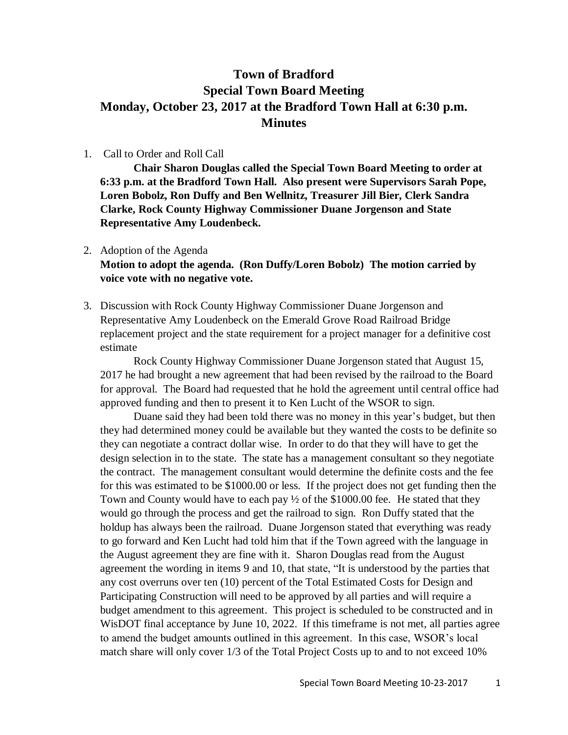# **Town of Bradford Special Town Board Meeting Monday, October 23, 2017 at the Bradford Town Hall at 6:30 p.m. Minutes**

## 1. Call to Order and Roll Call

**Chair Sharon Douglas called the Special Town Board Meeting to order at 6:33 p.m. at the Bradford Town Hall. Also present were Supervisors Sarah Pope, Loren Bobolz, Ron Duffy and Ben Wellnitz, Treasurer Jill Bier, Clerk Sandra Clarke, Rock County Highway Commissioner Duane Jorgenson and State Representative Amy Loudenbeck.**

#### 2. Adoption of the Agenda

**Motion to adopt the agenda. (Ron Duffy/Loren Bobolz) The motion carried by voice vote with no negative vote.**

3. Discussion with Rock County Highway Commissioner Duane Jorgenson and Representative Amy Loudenbeck on the Emerald Grove Road Railroad Bridge replacement project and the state requirement for a project manager for a definitive cost estimate

Rock County Highway Commissioner Duane Jorgenson stated that August 15, 2017 he had brought a new agreement that had been revised by the railroad to the Board for approval. The Board had requested that he hold the agreement until central office had approved funding and then to present it to Ken Lucht of the WSOR to sign.

Duane said they had been told there was no money in this year's budget, but then they had determined money could be available but they wanted the costs to be definite so they can negotiate a contract dollar wise. In order to do that they will have to get the design selection in to the state. The state has a management consultant so they negotiate the contract. The management consultant would determine the definite costs and the fee for this was estimated to be \$1000.00 or less. If the project does not get funding then the Town and County would have to each pay  $\frac{1}{2}$  of the \$1000.00 fee. He stated that they would go through the process and get the railroad to sign. Ron Duffy stated that the holdup has always been the railroad. Duane Jorgenson stated that everything was ready to go forward and Ken Lucht had told him that if the Town agreed with the language in the August agreement they are fine with it. Sharon Douglas read from the August agreement the wording in items 9 and 10, that state, "It is understood by the parties that any cost overruns over ten (10) percent of the Total Estimated Costs for Design and Participating Construction will need to be approved by all parties and will require a budget amendment to this agreement. This project is scheduled to be constructed and in WisDOT final acceptance by June 10, 2022. If this timeframe is not met, all parties agree to amend the budget amounts outlined in this agreement. In this case, WSOR's local match share will only cover 1/3 of the Total Project Costs up to and to not exceed 10%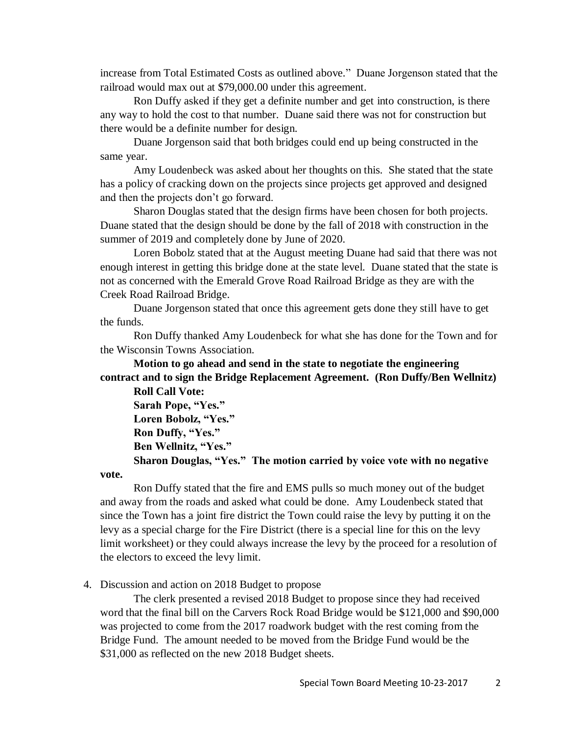increase from Total Estimated Costs as outlined above." Duane Jorgenson stated that the railroad would max out at \$79,000.00 under this agreement.

Ron Duffy asked if they get a definite number and get into construction, is there any way to hold the cost to that number. Duane said there was not for construction but there would be a definite number for design.

Duane Jorgenson said that both bridges could end up being constructed in the same year.

Amy Loudenbeck was asked about her thoughts on this. She stated that the state has a policy of cracking down on the projects since projects get approved and designed and then the projects don't go forward.

Sharon Douglas stated that the design firms have been chosen for both projects. Duane stated that the design should be done by the fall of 2018 with construction in the summer of 2019 and completely done by June of 2020.

Loren Bobolz stated that at the August meeting Duane had said that there was not enough interest in getting this bridge done at the state level. Duane stated that the state is not as concerned with the Emerald Grove Road Railroad Bridge as they are with the Creek Road Railroad Bridge.

Duane Jorgenson stated that once this agreement gets done they still have to get the funds.

Ron Duffy thanked Amy Loudenbeck for what she has done for the Town and for the Wisconsin Towns Association.

**Motion to go ahead and send in the state to negotiate the engineering contract and to sign the Bridge Replacement Agreement. (Ron Duffy/Ben Wellnitz)**

**Roll Call Vote: Sarah Pope, "Yes." Loren Bobolz, "Yes." Ron Duffy, "Yes." Ben Wellnitz, "Yes."**

**Sharon Douglas, "Yes." The motion carried by voice vote with no negative** 

**vote.**

Ron Duffy stated that the fire and EMS pulls so much money out of the budget and away from the roads and asked what could be done. Amy Loudenbeck stated that since the Town has a joint fire district the Town could raise the levy by putting it on the levy as a special charge for the Fire District (there is a special line for this on the levy limit worksheet) or they could always increase the levy by the proceed for a resolution of the electors to exceed the levy limit.

4. Discussion and action on 2018 Budget to propose

The clerk presented a revised 2018 Budget to propose since they had received word that the final bill on the Carvers Rock Road Bridge would be \$121,000 and \$90,000 was projected to come from the 2017 roadwork budget with the rest coming from the Bridge Fund. The amount needed to be moved from the Bridge Fund would be the \$31,000 as reflected on the new 2018 Budget sheets.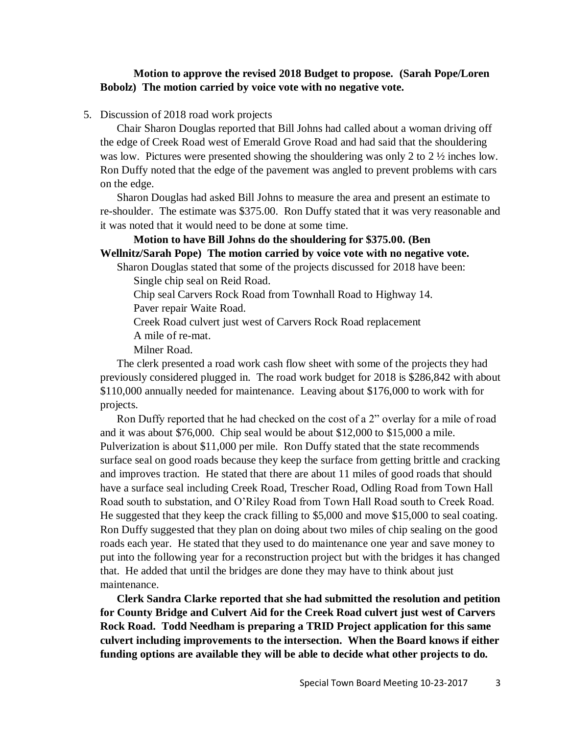## **Motion to approve the revised 2018 Budget to propose. (Sarah Pope/Loren Bobolz) The motion carried by voice vote with no negative vote.**

5. Discussion of 2018 road work projects

Chair Sharon Douglas reported that Bill Johns had called about a woman driving off the edge of Creek Road west of Emerald Grove Road and had said that the shouldering was low. Pictures were presented showing the shouldering was only 2 to  $2 \frac{1}{2}$  inches low. Ron Duffy noted that the edge of the pavement was angled to prevent problems with cars on the edge.

Sharon Douglas had asked Bill Johns to measure the area and present an estimate to re-shoulder. The estimate was \$375.00. Ron Duffy stated that it was very reasonable and it was noted that it would need to be done at some time.

## **Motion to have Bill Johns do the shouldering for \$375.00. (Ben Wellnitz/Sarah Pope) The motion carried by voice vote with no negative vote.**

Sharon Douglas stated that some of the projects discussed for 2018 have been: Single chip seal on Reid Road.

Chip seal Carvers Rock Road from Townhall Road to Highway 14.

Paver repair Waite Road.

Creek Road culvert just west of Carvers Rock Road replacement

A mile of re-mat.

Milner Road.

The clerk presented a road work cash flow sheet with some of the projects they had previously considered plugged in. The road work budget for 2018 is \$286,842 with about \$110,000 annually needed for maintenance. Leaving about \$176,000 to work with for projects.

Ron Duffy reported that he had checked on the cost of a 2" overlay for a mile of road and it was about \$76,000. Chip seal would be about \$12,000 to \$15,000 a mile. Pulverization is about \$11,000 per mile. Ron Duffy stated that the state recommends surface seal on good roads because they keep the surface from getting brittle and cracking and improves traction. He stated that there are about 11 miles of good roads that should have a surface seal including Creek Road, Trescher Road, Odling Road from Town Hall Road south to substation, and O'Riley Road from Town Hall Road south to Creek Road. He suggested that they keep the crack filling to \$5,000 and move \$15,000 to seal coating. Ron Duffy suggested that they plan on doing about two miles of chip sealing on the good roads each year. He stated that they used to do maintenance one year and save money to put into the following year for a reconstruction project but with the bridges it has changed that. He added that until the bridges are done they may have to think about just maintenance.

**Clerk Sandra Clarke reported that she had submitted the resolution and petition for County Bridge and Culvert Aid for the Creek Road culvert just west of Carvers Rock Road. Todd Needham is preparing a TRID Project application for this same culvert including improvements to the intersection. When the Board knows if either funding options are available they will be able to decide what other projects to do.**